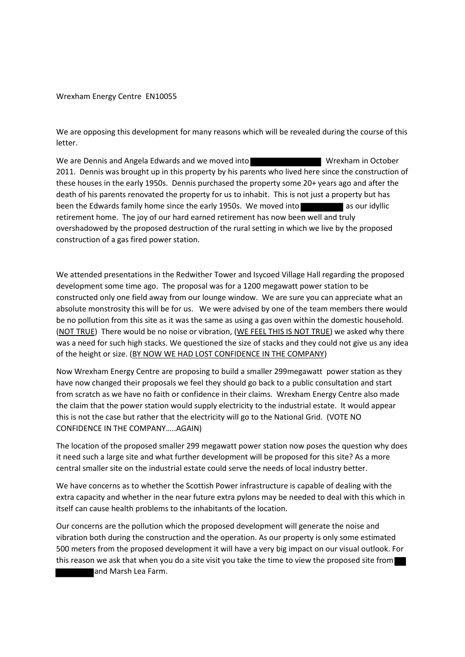## Wrexham Energy Centre EN10055

We are opposing this development for many reasons which will be revealed during the course of this letter.

We are Dennis and Angela Edwards and we moved into Wrexham in October 2011. Dennis was brought up in this property by his parents who lived here since the construction of these houses in the early 1950s. Dennis purchased the property some 20+ years ago and after the death of his parents renovated the property for us to inhabit. This is not just a property but has been the Edwards family home since the early 1950s. We moved into a same as our idyllic retirement home. The joy of our hard earned retirement has now been well and truly overshadowed by the proposed destruction of the rural setting in which we live by the proposed construction of a gas fired power station.

We attended presentations in the Redwither Tower and Isycoed Village Hall regarding the proposed development some time ago. The proposal was for a 1200 megawatt power station to be constructed only one field away from our lounge window. We are sure you can appreciate what an absolute monstrosity this will be for us. We were advised by one of the team members there would be no pollution from this site as it was the same as using a gas oven within the domestic household. (NOT TRUE) There would be no noise or vibration, (WE FEEL THIS IS NOT TRUE) we asked why there was a need for such high stacks. We questioned the size of stacks and they could not give us any idea of the height or size. (BY NOW WE HAD LOST CONFIDENCE IN THE COMPANY)

Now Wrexham Energy Centre are proposing to build a smaller 299megawatt power station as they have now changed their proposals we feel they should go back to a public consultation and start from scratch as we have no faith or confidence in their claims. Wrexham Energy Centre also made the claim that the power station would supply electricity to the industrial estate. It would appear this is not the case but rather that the electricity will go to the National Grid. (VOTE NO CONFIDENCE IN THE COMPANY…..AGAIN)

The location of the proposed smaller 299 megawatt power station now poses the question why does it need such a large site and what further development will be proposed for this site? As a more central smaller site on the industrial estate could serve the needs of local industry better.

We have concerns as to whether the Scottish Power infrastructure is capable of dealing with the extra capacity and whether in the near future extra pylons may be needed to deal with this which in itself can cause health problems to the inhabitants of the location.

Our concerns are the pollution which the proposed development will generate the noise and vibration both during the construction and the operation. As our property is only some estimated 500 meters from the proposed development it will have a very big impact on our visual outlook. For this reason we ask that when you do a site visit you take the time to view the proposed site from and Marsh Lea Farm.